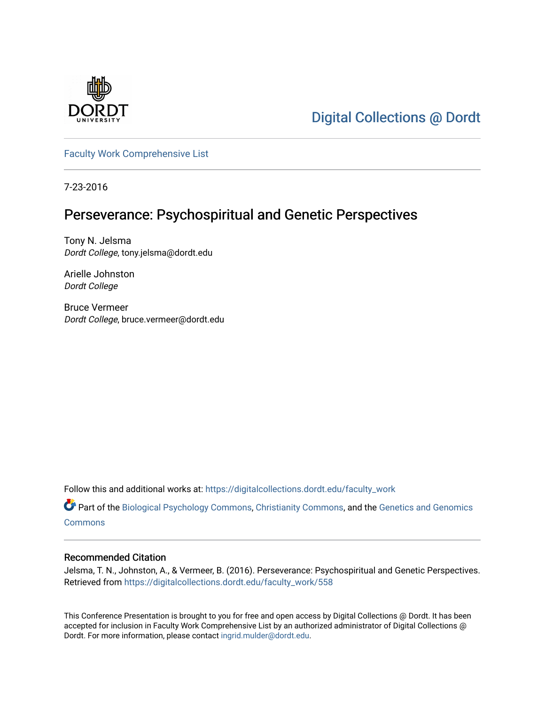

[Digital Collections @ Dordt](https://digitalcollections.dordt.edu/) 

[Faculty Work Comprehensive List](https://digitalcollections.dordt.edu/faculty_work)

7-23-2016

#### Perseverance: Psychospiritual and Genetic Perspectives

Tony N. Jelsma Dordt College, tony.jelsma@dordt.edu

Arielle Johnston Dordt College

Bruce Vermeer Dordt College, bruce.vermeer@dordt.edu

Follow this and additional works at: [https://digitalcollections.dordt.edu/faculty\\_work](https://digitalcollections.dordt.edu/faculty_work?utm_source=digitalcollections.dordt.edu%2Ffaculty_work%2F558&utm_medium=PDF&utm_campaign=PDFCoverPages) 

Part of the [Biological Psychology Commons,](http://network.bepress.com/hgg/discipline/405?utm_source=digitalcollections.dordt.edu%2Ffaculty_work%2F558&utm_medium=PDF&utm_campaign=PDFCoverPages) [Christianity Commons](http://network.bepress.com/hgg/discipline/1181?utm_source=digitalcollections.dordt.edu%2Ffaculty_work%2F558&utm_medium=PDF&utm_campaign=PDFCoverPages), and the [Genetics and Genomics](http://network.bepress.com/hgg/discipline/27?utm_source=digitalcollections.dordt.edu%2Ffaculty_work%2F558&utm_medium=PDF&utm_campaign=PDFCoverPages)  **[Commons](http://network.bepress.com/hgg/discipline/27?utm_source=digitalcollections.dordt.edu%2Ffaculty_work%2F558&utm_medium=PDF&utm_campaign=PDFCoverPages)** 

#### Recommended Citation

Jelsma, T. N., Johnston, A., & Vermeer, B. (2016). Perseverance: Psychospiritual and Genetic Perspectives. Retrieved from [https://digitalcollections.dordt.edu/faculty\\_work/558](https://digitalcollections.dordt.edu/faculty_work/558?utm_source=digitalcollections.dordt.edu%2Ffaculty_work%2F558&utm_medium=PDF&utm_campaign=PDFCoverPages)

This Conference Presentation is brought to you for free and open access by Digital Collections @ Dordt. It has been accepted for inclusion in Faculty Work Comprehensive List by an authorized administrator of Digital Collections @ Dordt. For more information, please contact [ingrid.mulder@dordt.edu.](mailto:ingrid.mulder@dordt.edu)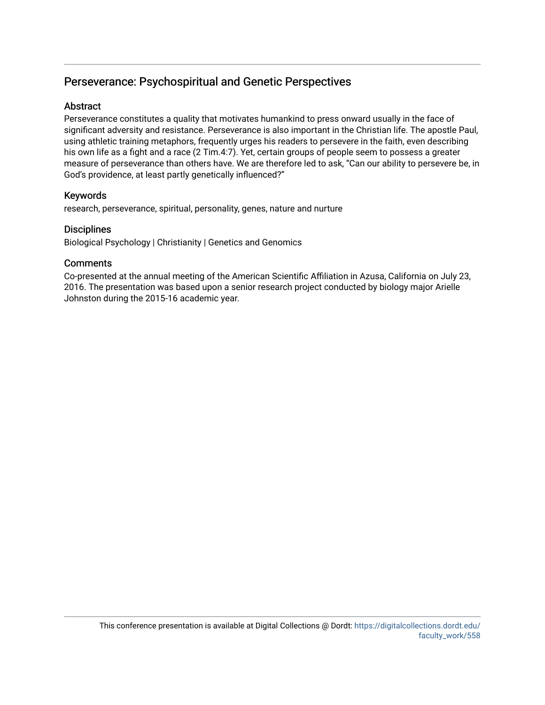#### Perseverance: Psychospiritual and Genetic Perspectives

#### **Abstract**

Perseverance constitutes a quality that motivates humankind to press onward usually in the face of significant adversity and resistance. Perseverance is also important in the Christian life. The apostle Paul, using athletic training metaphors, frequently urges his readers to persevere in the faith, even describing his own life as a fight and a race (2 Tim.4:7). Yet, certain groups of people seem to possess a greater measure of perseverance than others have. We are therefore led to ask, "Can our ability to persevere be, in God's providence, at least partly genetically influenced?"

#### Keywords

research, perseverance, spiritual, personality, genes, nature and nurture

#### **Disciplines**

Biological Psychology | Christianity | Genetics and Genomics

#### **Comments**

Co-presented at the annual meeting of the American Scientific Affiliation in Azusa, California on July 23, 2016. The presentation was based upon a senior research project conducted by biology major Arielle Johnston during the 2015-16 academic year.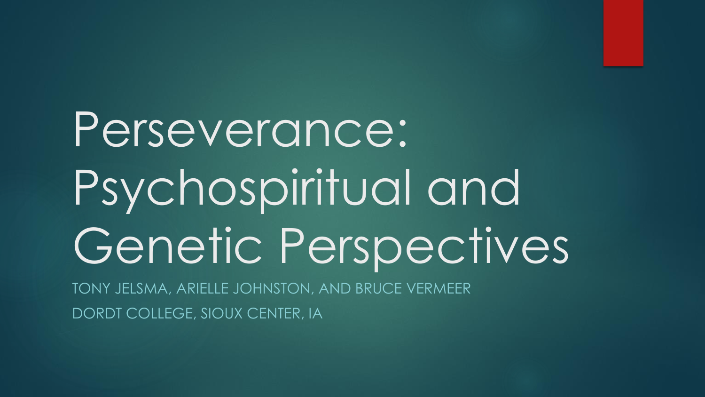# Perseverance: Psychospiritual and Genetic Perspectives

TONY JELSMA, ARIELLE JOHNSTON, AND BRUCE VERMEER DORDT COLLEGE, SIOUX CENTER, IA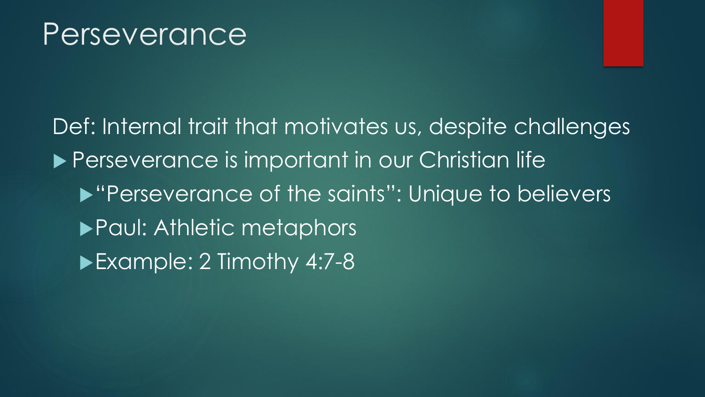### Perseverance

Def: Internal trait that motivates us, despite challenges **Perseverance is important in our Christian life In "Perseverance of the saints": Unique to believers Paul: Athletic metaphors** Example: 2 Timothy 4:7-8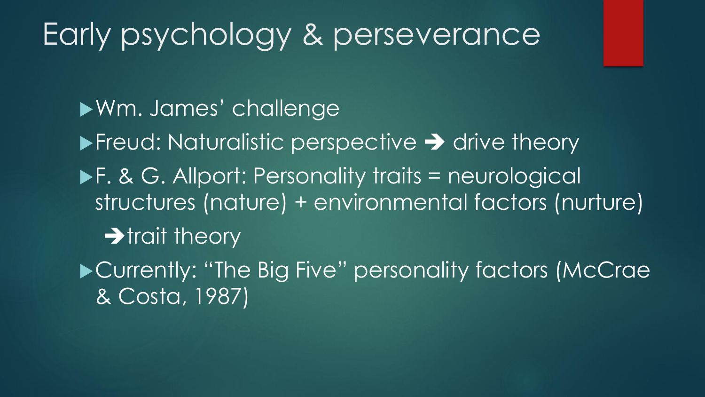# Early psychology & perseverance

Wm. James' challenge  $\blacktriangleright$  Freud: Naturalistic perspective  $\rightarrow$  drive theory ▶F. & G. Allport: Personality traits = neurological structures (nature) + environmental factors (nurture)  $\rightarrow$  trait theory

▶ Currently: "The Big Five" personality factors (McCrae & Costa, 1987)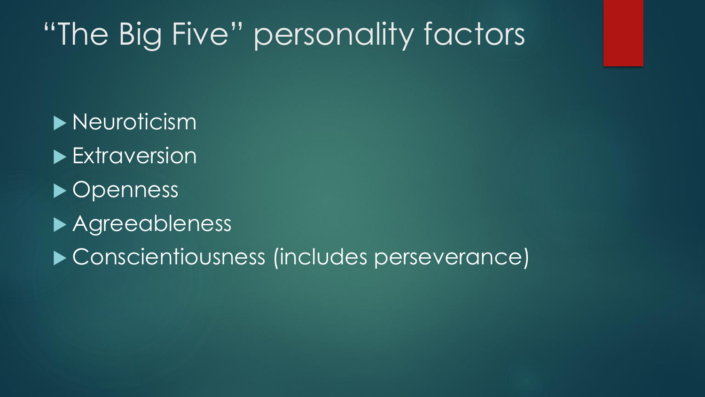# "The Big Five" personality factors

**Neuroticism Extraversion** ▶ Openness Agreeableness ▶ Conscientiousness (includes perseverance)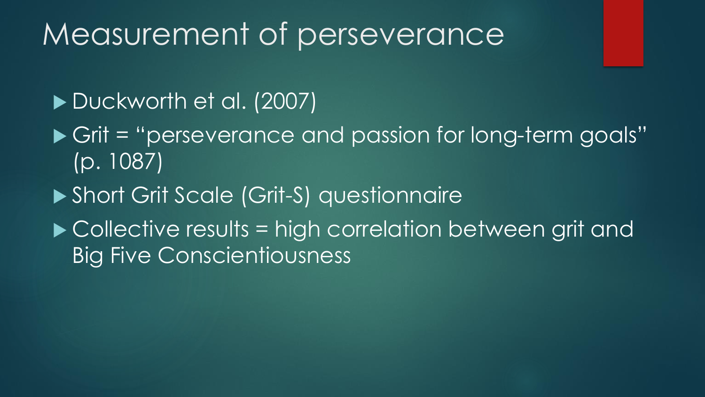### Measurement of perseverance

#### Duckworth et al. (2007)

- ▶ Grit = "perseverance and passion for long-term goals" (p. 1087)
- ▶ Short Grit Scale (Grit-S) questionnaire
- ▶ Collective results = high correlation between grit and Big Five Conscientiousness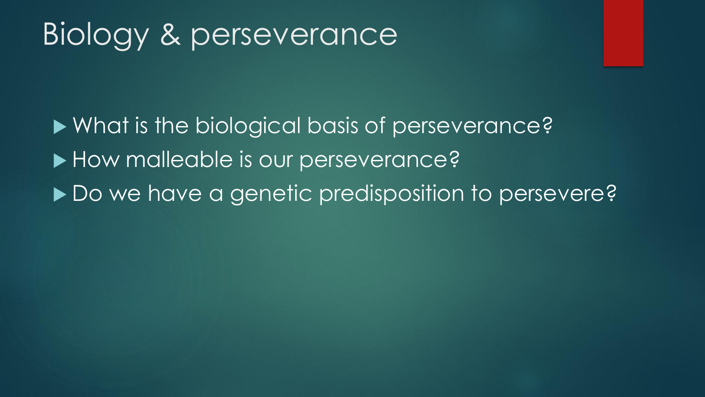# Biology & perseverance

▶ What is the biological basis of perseverance? How malleable is our perseverance? ▶ Do we have a genetic predisposition to persevere?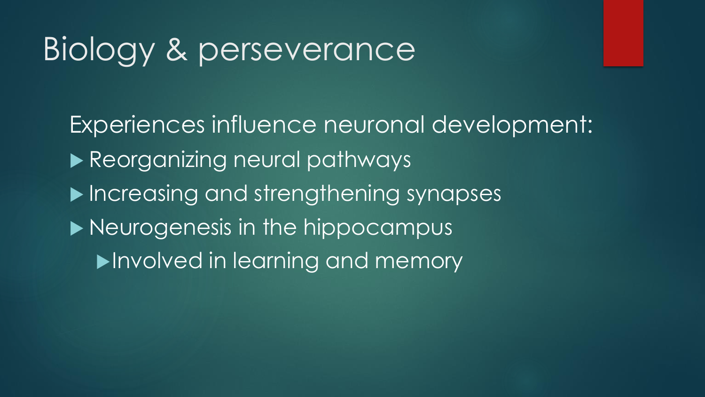# Biology & perseverance

Experiences influence neuronal development: Reorganizing neural pathways Increasing and strengthening synapses **Neurogenesis in the hippocampus Involved in learning and memory**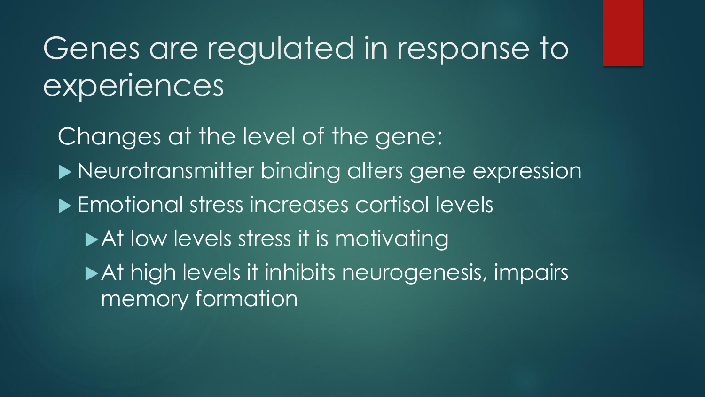# Genes are regulated in response to experiences

Changes at the level of the gene:  $\blacktriangleright$  Neurotransmitter binding alters gene expression ▶ Emotional stress increases cortisol levels At low levels stress it is motivating At high levels it inhibits neurogenesis, impairs memory formation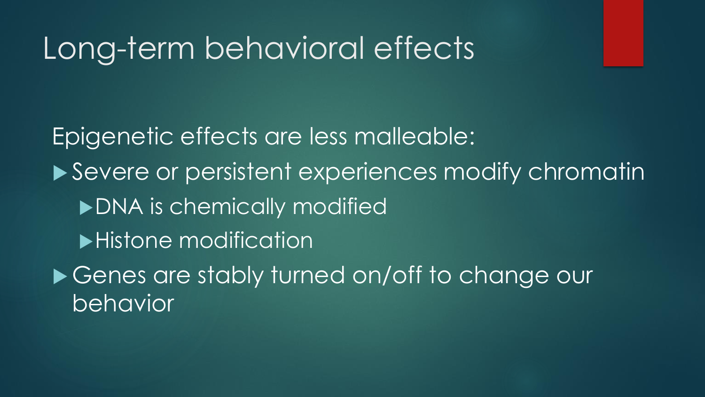### Long-term behavioral effects

Epigenetic effects are less malleable: ▶ Severe or persistent experiences modify chromatin ▶ DNA is chemically modified **Histone modification** ▶ Genes are stably turned on/off to change our behavior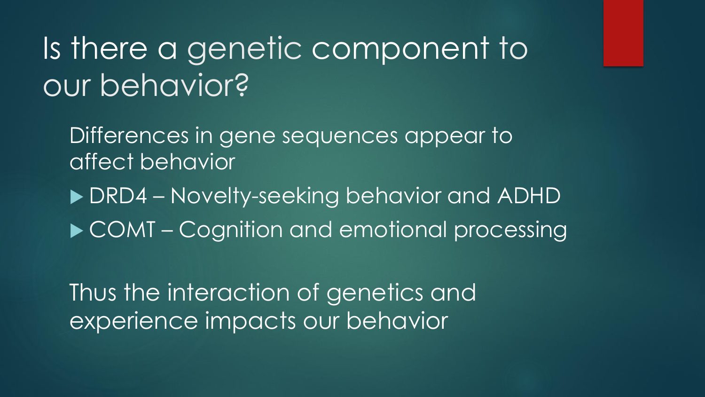# Is there a genetic component to our behavior?

Differences in gene sequences appear to affect behavior

 DRD4 – Novelty-seeking behavior and ADHD ▶ COMT – Cognition and emotional processing

Thus the interaction of genetics and experience impacts our behavior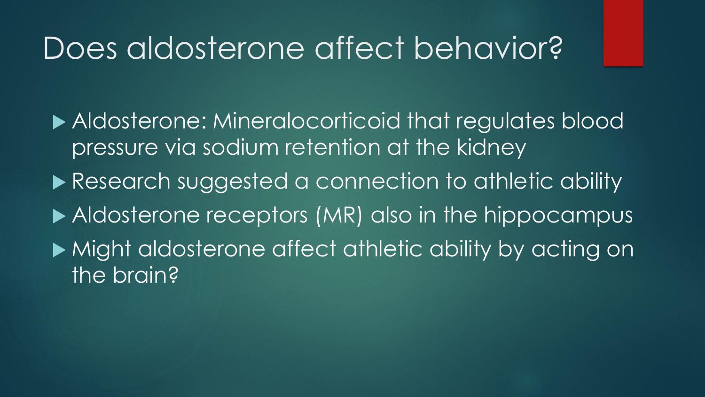### Does aldosterone affect behavior?

 Aldosterone: Mineralocorticoid that regulates blood pressure via sodium retention at the kidney ▶ Research suggested a connection to athletic ability Aldosterone receptors (MR) also in the hippocampus

 Might aldosterone affect athletic ability by acting on the brain?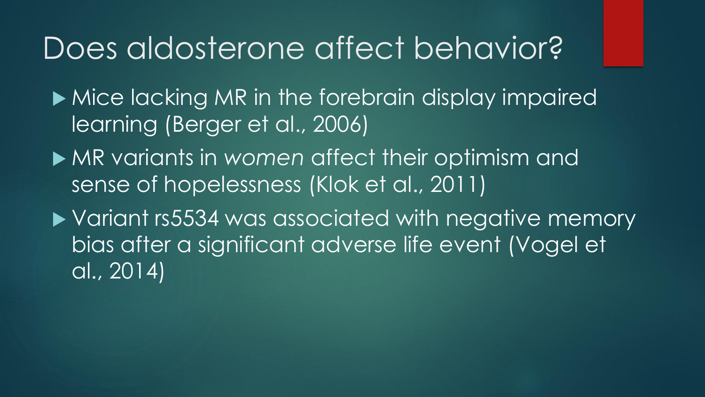### Does aldosterone affect behavior?

 $\blacktriangleright$  Mice lacking MR in the forebrain display impaired learning (Berger et al., 2006)

 MR variants in *women* affect their optimism and sense of hopelessness (Klok et al., 2011)

▶ Variant rs5534 was associated with negative memory bias after a significant adverse life event (Vogel et al., 2014)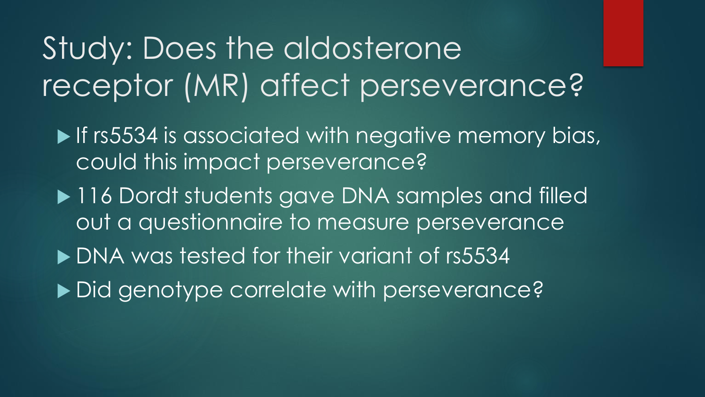# Study: Does the aldosterone receptor (MR) affect perseverance?

- If rs5534 is associated with negative memory bias, could this impact perseverance?
- ▶ 116 Dordt students gave DNA samples and filled out a questionnaire to measure perseverance
- DNA was tested for their variant of rs5534
- ▶ Did genotype correlate with perseverance?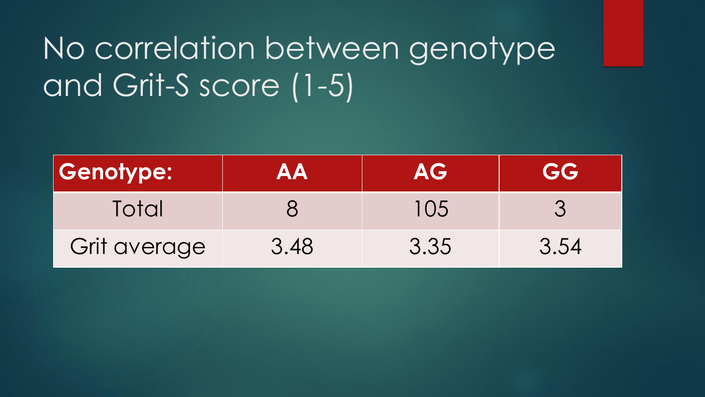# No correlation between genotype and Grit-S score (1-5)

| <b>Genotype:</b> | <b>AA</b> | AG   | <b>GG</b> |
|------------------|-----------|------|-----------|
| Total            |           | 105  |           |
| Grit average     | 3.48      | 3.35 | 3.54      |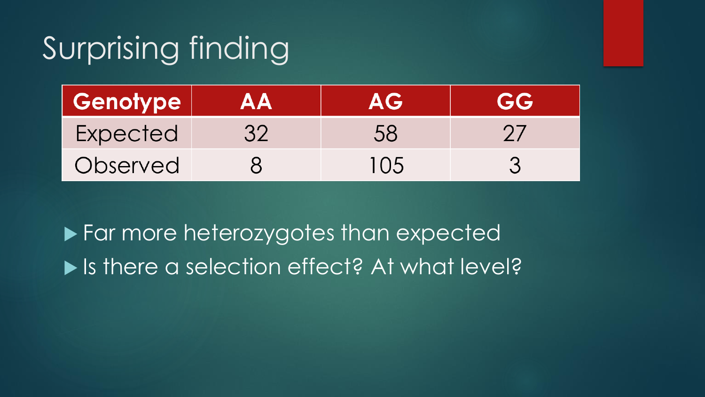# Surprising finding

| <b>Genotype</b> | AA | AG  | GG |
|-----------------|----|-----|----|
| Expected        | 32 | 58  |    |
| Observed        |    | 105 |    |

**Far more heterozygotes than expected** ▶ Is there a selection effect? At what level?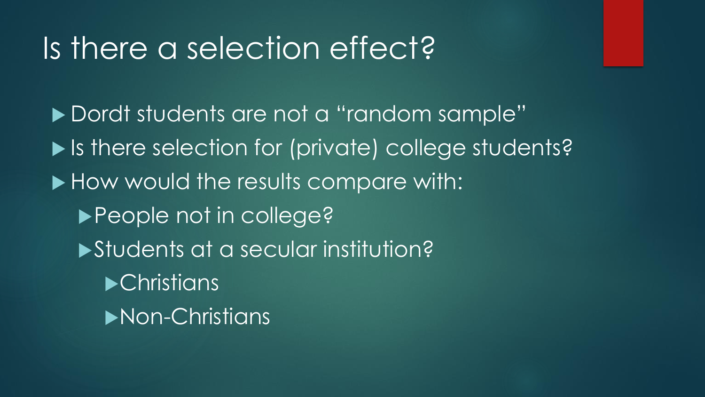### Is there a selection effect?

Dordt students are not a "random sample" ▶ Is there selection for (private) college students? How would the results compare with: ▶ People not in college? Students at a secular institution? **•Christians** Non-Christians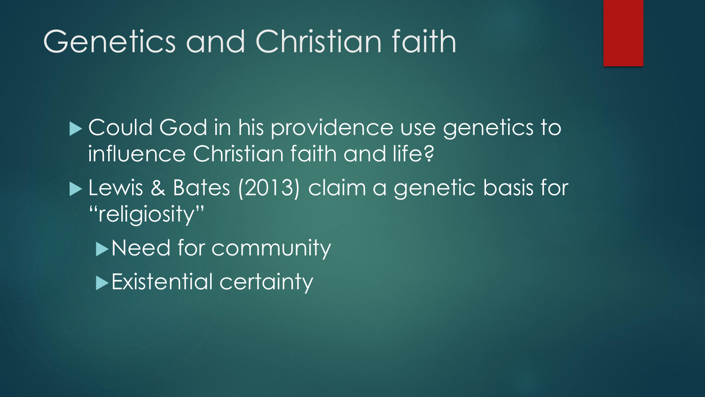# Genetics and Christian faith

▶ Could God in his providence use genetics to influence Christian faith and life?

- **Lewis & Bates (2013) claim a genetic basis for** "religiosity"
	- Need for community
	- Existential certainty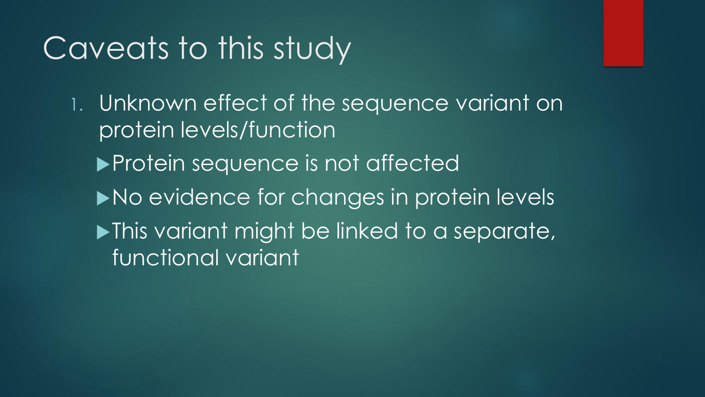# Caveats to this study

1. Unknown effect of the sequence variant on protein levels/function

- **Protein sequence is not affected**
- No evidence for changes in protein levels
- **Nis variant might be linked to a separate,** functional variant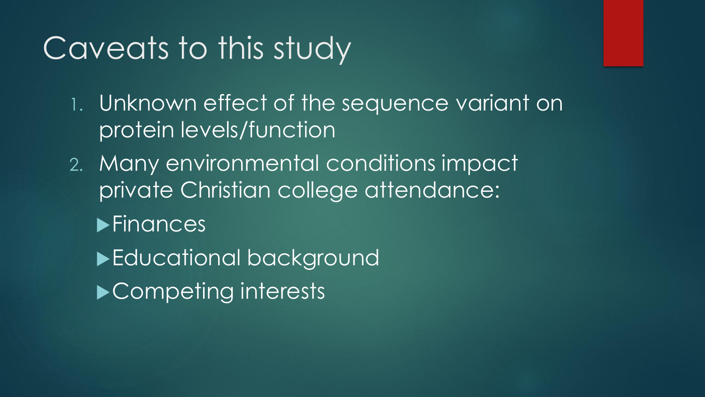# Caveats to this study

1. Unknown effect of the sequence variant on protein levels/function

- 2. Many environmental conditions impact private Christian college attendance:
	- **Finances**
	- ▶ Educational background **Competing interests**